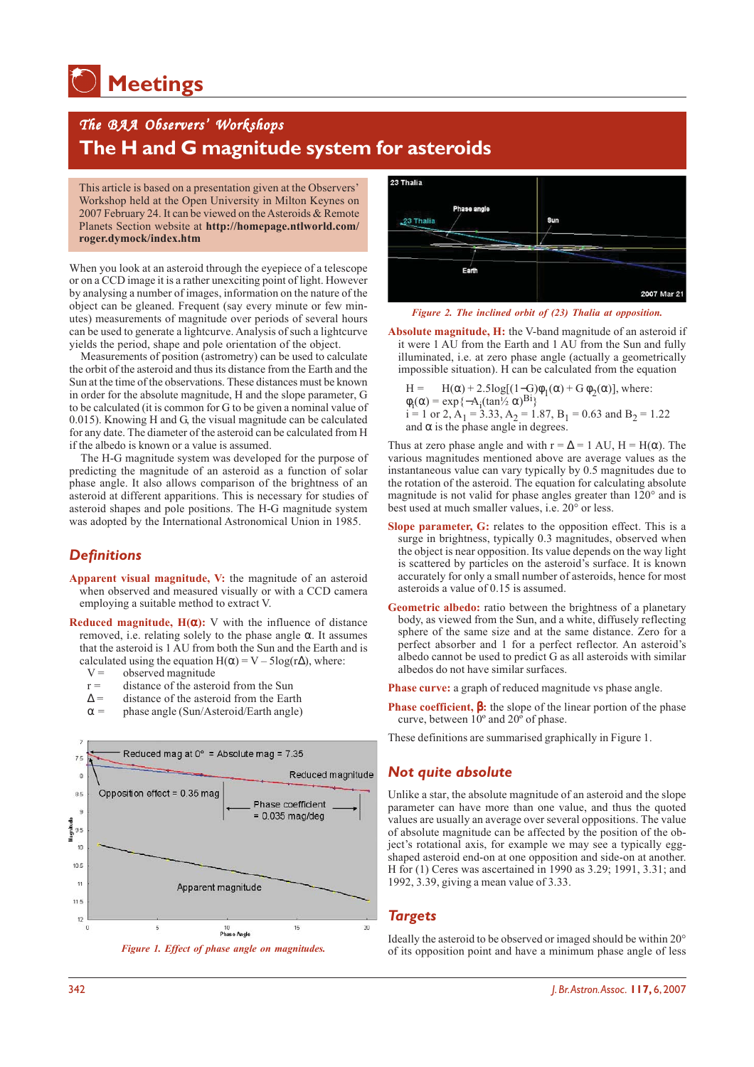# **Meetings**

# *The BAA Observers The Observers' Workshops Workshops* **The H and G magnitude system for asteroids**

This article is based on a presentation given at the Observers' Workshop held at the Open University in Milton Keynes on 2007 February 24. It can be viewed on the Asteroids & Remote Planets Section website at **http://homepage.ntlworld.com/ roger.dymock/index.htm**

When you look at an asteroid through the eyepiece of a telescope or on a CCD image it is a rather unexciting point of light. However by analysing a number of images, information on the nature of the object can be gleaned. Frequent (say every minute or few minutes) measurements of magnitude over periods of several hours can be used to generate a lightcurve. Analysis of such a lightcurve yields the period, shape and pole orientation of the object.

Measurements of position (astrometry) can be used to calculate the orbit of the asteroid and thus its distance from the Earth and the Sun at the time of the observations. These distances must be known in order for the absolute magnitude, H and the slope parameter, G to be calculated (it is common for G to be given a nominal value of 0.015). Knowing H and G, the visual magnitude can be calculated for any date. The diameter of the asteroid can be calculated from H if the albedo is known or a value is assumed.

The H-G magnitude system was developed for the purpose of predicting the magnitude of an asteroid as a function of solar phase angle. It also allows comparison of the brightness of an asteroid at different apparitions. This is necessary for studies of asteroid shapes and pole positions. The H-G magnitude system was adopted by the International Astronomical Union in 1985.

## *Definitions*

- **Apparent visual magnitude, V:** the magnitude of an asteroid when observed and measured visually or with a CCD camera employing a suitable method to extract V.
- **Reduced magnitude, H(**α**):** V with the influence of distance removed, i.e. relating solely to the phase angle α. It assumes that the asteroid is 1 AU from both the Sun and the Earth and is calculated using the equation H( $\alpha$ ) = V – 5log(r $\Delta$ ), where:<br>V = observed magnitude
	- observed magnitude
	- $r =$  distance of the asteroid from the Sun
	- $\Delta$  = distance of the asteroid from the Earth  $\alpha$  = hase angle (Sun/Asteroid/Earth angle)
	- phase angle (Sun/Asteroid/Earth angle)







*Figure 2. The inclined orbit of (23) Thalia at opposition.*

**Absolute magnitude, H:** the V-band magnitude of an asteroid if it were 1 AU from the Earth and 1 AU from the Sun and fully illuminated, i.e. at zero phase angle (actually a geometrically impossible situation). H can be calculated from the equation

H = H( $\alpha$ ) + 2.5log[(1–G) $\phi_1(\alpha)$  + G  $\phi_2(\alpha)$ ], where:  $\phi_i(\alpha) = \exp\{-A_i(\tan \frac{1}{2} \alpha)^{B_i}\}$  $i = 1$  or 2,  $A_1 = 3.33$ ,  $A_2 = 1.87$ ,  $B_1 = 0.63$  and  $B_2 = 1.22$ and  $\alpha$  is the phase angle in degrees.

Thus at zero phase angle and with  $r = \Delta = 1$  AU,  $H = H(\alpha)$ . The various magnitudes mentioned above are average values as the instantaneous value can vary typically by 0.5 magnitudes due to the rotation of the asteroid. The equation for calculating absolute magnitude is not valid for phase angles greater than 120° and is best used at much smaller values, i.e. 20° or less.

- **Slope parameter, G:** relates to the opposition effect. This is a surge in brightness, typically 0.3 magnitudes, observed when the object is near opposition. Its value depends on the way light is scattered by particles on the asteroid's surface. It is known accurately for only a small number of asteroids, hence for most asteroids a value of 0.15 is assumed.
- **Geometric albedo:** ratio between the brightness of a planetary body, as viewed from the Sun, and a white, diffusely reflecting sphere of the same size and at the same distance. Zero for a perfect absorber and 1 for a perfect reflector. An asteroid's albedo cannot be used to predict G as all asteroids with similar albedos do not have similar surfaces.

**Phase curve:** a graph of reduced magnitude vs phase angle.

**Phase coefficient, β: the slope of the linear portion of the phase** curve, between  $10^{\circ}$  and  $20^{\circ}$  of phase.

These definitions are summarised graphically in Figure 1.

#### *Not quite absolute*

Unlike a star, the absolute magnitude of an asteroid and the slope parameter can have more than one value, and thus the quoted values are usually an average over several oppositions. The value of absolute magnitude can be affected by the position of the object's rotational axis, for example we may see a typically eggshaped asteroid end-on at one opposition and side-on at another. H for (1) Ceres was ascertained in 1990 as 3.29; 1991, 3.31; and 1992, 3.39, giving a mean value of 3.33.

#### *Targets*

Ideally the asteroid to be observed or imaged should be within 20° of its opposition point and have a minimum phase angle of less